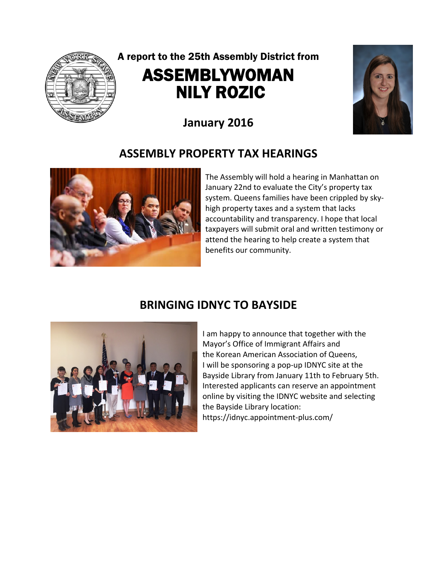

# A report to the 25th Assembly District from ASSEMBLYWOMAN NILY ROZIC



# **January 2016**

### **ASSEMBLY PROPERTY TAX HEARINGS**



The Assembly will hold a hearing in Manhattan on January 22nd to evaluate the City's property tax system. Queens families have been crippled by skyhigh property taxes and a system that lacks accountability and transparency. I hope that local taxpayers will submit oral and written testimony or attend the hearing to help create a system that benefits our community.

#### **BRINGING IDNYC TO BAYSIDE**



I am happy to announce that together with the Mayor's Office of Immigrant Affairs and the Korean American Association of Queens, I will be sponsoring a pop-up IDNYC site at the Bayside Library from January 11th to February 5th. Interested applicants can reserve an appointment online by visiting the IDNYC website and selecting the Bayside Library location: https://idnyc.appointment-plus.com/